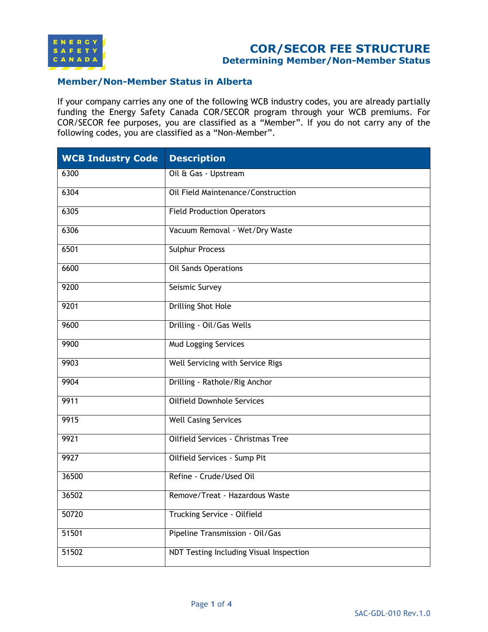

# **COR/SECOR FEE STRUCTURE**

**Determining Member/Non-Member Status**

#### **Member/Non-Member Status in Alberta**

If your company carries any one of the following WCB industry codes, you are already partially funding the Energy Safety Canada COR/SECOR program through your WCB premiums. For COR/SECOR fee purposes, you are classified as a "Member". If you do not carry any of the following codes, you are classified as a "Non-Member".

| <b>WCB Industry Code</b> | <b>Description</b>                      |
|--------------------------|-----------------------------------------|
| 6300                     | Oil & Gas - Upstream                    |
| 6304                     | Oil Field Maintenance/Construction      |
| 6305                     | <b>Field Production Operators</b>       |
| 6306                     | Vacuum Removal - Wet/Dry Waste          |
| 6501                     | Sulphur Process                         |
| 6600                     | <b>Oil Sands Operations</b>             |
| 9200                     | Seismic Survey                          |
| 9201                     | <b>Drilling Shot Hole</b>               |
| 9600                     | Drilling - Oil/Gas Wells                |
| 9900                     | <b>Mud Logging Services</b>             |
| 9903                     | Well Servicing with Service Rigs        |
| 9904                     | Drilling - Rathole/Rig Anchor           |
| 9911                     | <b>Oilfield Downhole Services</b>       |
| 9915                     | <b>Well Casing Services</b>             |
| 9921                     | Oilfield Services - Christmas Tree      |
| 9927                     | Oilfield Services - Sump Pit            |
| 36500                    | Refine - Crude/Used Oil                 |
| 36502                    | Remove/Treat - Hazardous Waste          |
| 50720                    | Trucking Service - Oilfield             |
| 51501                    | Pipeline Transmission - Oil/Gas         |
| 51502                    | NDT Testing Including Visual Inspection |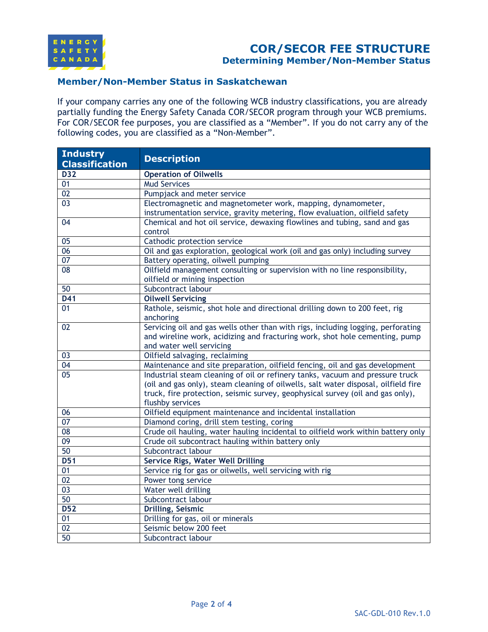

## **COR/SECOR FEE STRUCTURE Determining Member/Non-Member Status**

#### **Member/Non-Member Status in Saskatchewan**

If your company carries any one of the following WCB industry classifications, you are already partially funding the Energy Safety Canada COR/SECOR program through your WCB premiums. For COR/SECOR fee purposes, you are classified as a "Member". If you do not carry any of the following codes, you are classified as a "Non-Member".

| <b>Industry</b><br><b>Classification</b> | <b>Description</b>                                                                                                                                                                                                                                                        |
|------------------------------------------|---------------------------------------------------------------------------------------------------------------------------------------------------------------------------------------------------------------------------------------------------------------------------|
| $\overline{D32}$                         | <b>Operation of Oilwells</b>                                                                                                                                                                                                                                              |
| 01                                       | <b>Mud Services</b>                                                                                                                                                                                                                                                       |
| 02                                       | Pumpjack and meter service                                                                                                                                                                                                                                                |
| 03                                       | Electromagnetic and magnetometer work, mapping, dynamometer,<br>instrumentation service, gravity metering, flow evaluation, oilfield safety                                                                                                                               |
| 04                                       | Chemical and hot oil service, dewaxing flowlines and tubing, sand and gas<br>control                                                                                                                                                                                      |
| 05                                       | Cathodic protection service                                                                                                                                                                                                                                               |
| 06                                       | Oil and gas exploration, geological work (oil and gas only) including survey                                                                                                                                                                                              |
| 07                                       | Battery operating, oilwell pumping                                                                                                                                                                                                                                        |
| $\overline{08}$                          | Oilfield management consulting or supervision with no line responsibility,<br>oilfield or mining inspection                                                                                                                                                               |
| 50                                       | Subcontract labour                                                                                                                                                                                                                                                        |
| D41                                      | <b>Oilwell Servicing</b>                                                                                                                                                                                                                                                  |
| 01                                       | Rathole, seismic, shot hole and directional drilling down to 200 feet, rig<br>anchoring                                                                                                                                                                                   |
| 02                                       | Servicing oil and gas wells other than with rigs, including logging, perforating<br>and wireline work, acidizing and fracturing work, shot hole cementing, pump<br>and water well servicing                                                                               |
| 03                                       | Oilfield salvaging, reclaiming                                                                                                                                                                                                                                            |
| $\overline{04}$                          | Maintenance and site preparation, oilfield fencing, oil and gas development                                                                                                                                                                                               |
| $\overline{05}$                          | Industrial steam cleaning of oil or refinery tanks, vacuum and pressure truck<br>(oil and gas only), steam cleaning of oilwells, salt water disposal, oilfield fire<br>truck, fire protection, seismic survey, geophysical survey (oil and gas only),<br>flushby services |
| 06                                       | Oilfield equipment maintenance and incidental installation                                                                                                                                                                                                                |
| 07                                       | Diamond coring, drill stem testing, coring                                                                                                                                                                                                                                |
| 08                                       | Crude oil hauling, water hauling incidental to oilfield work within battery only                                                                                                                                                                                          |
| 09                                       | Crude oil subcontract hauling within battery only                                                                                                                                                                                                                         |
| 50                                       | Subcontract labour                                                                                                                                                                                                                                                        |
| $\overline{D51}$                         | Service Rigs, Water Well Drilling                                                                                                                                                                                                                                         |
| $\overline{01}$                          | Service rig for gas or oilwells, well servicing with rig                                                                                                                                                                                                                  |
| 02                                       | Power tong service                                                                                                                                                                                                                                                        |
| 0 <sup>3</sup>                           | Water well drilling                                                                                                                                                                                                                                                       |
| 50                                       | Subcontract labour                                                                                                                                                                                                                                                        |
| <b>D52</b>                               | <b>Drilling, Seismic</b>                                                                                                                                                                                                                                                  |
| 01                                       | Drilling for gas, oil or minerals                                                                                                                                                                                                                                         |
| 02                                       | Seismic below 200 feet                                                                                                                                                                                                                                                    |
| 50                                       | Subcontract labour                                                                                                                                                                                                                                                        |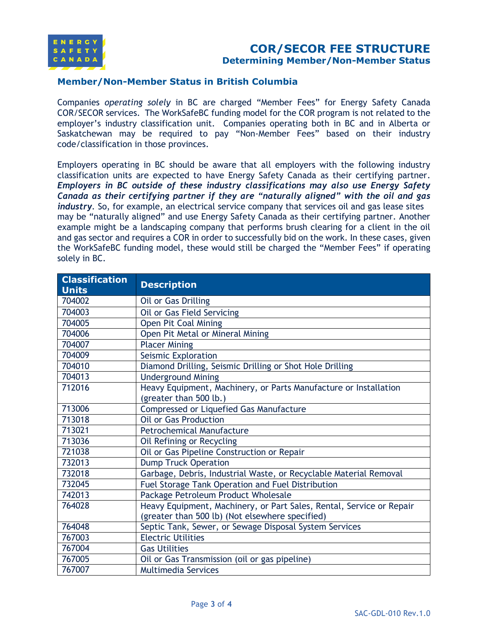

#### **Member/Non-Member Status in British Columbia**

Companies *operating solely* in BC are charged "Member Fees" for Energy Safety Canada COR/SECOR services. The WorkSafeBC funding model for the COR program is not related to the employer's industry classification unit. Companies operating both in BC and in Alberta or Saskatchewan may be required to pay "Non-Member Fees" based on their industry code/classification in those provinces.

Employers operating in BC should be aware that all employers with the following industry classification units are expected to have Energy Safety Canada as their certifying partner. *Employers in BC outside of these industry classifications may also use Energy Safety Canada as their certifying partner if they are "naturally aligned" with the oil and gas industry*. So, for example, an electrical service company that services oil and gas lease sites may be "naturally aligned" and use Energy Safety Canada as their certifying partner. Another example might be a landscaping company that performs brush clearing for a client in the oil and gas sector and requires a COR in order to successfully bid on the work. In these cases, given the WorkSafeBC funding model, these would still be charged the "Member Fees" if operating solely in BC.

| <b>Classification</b><br><b>Units</b> | <b>Description</b>                                                                                                      |
|---------------------------------------|-------------------------------------------------------------------------------------------------------------------------|
| 704002                                | Oil or Gas Drilling                                                                                                     |
| 704003                                | Oil or Gas Field Servicing                                                                                              |
| 704005                                | Open Pit Coal Mining                                                                                                    |
| 704006                                | Open Pit Metal or Mineral Mining                                                                                        |
| 704007                                | <b>Placer Mining</b>                                                                                                    |
| 704009                                | Seismic Exploration                                                                                                     |
| 704010                                | Diamond Drilling, Seismic Drilling or Shot Hole Drilling                                                                |
| 704013                                | <b>Underground Mining</b>                                                                                               |
| 712016                                | Heavy Equipment, Machinery, or Parts Manufacture or Installation<br>(greater than 500 lb.)                              |
| 713006                                | Compressed or Liquefied Gas Manufacture                                                                                 |
| 713018                                | <b>Oil or Gas Production</b>                                                                                            |
| 713021                                | <b>Petrochemical Manufacture</b>                                                                                        |
| 713036                                | Oil Refining or Recycling                                                                                               |
| 721038                                | Oil or Gas Pipeline Construction or Repair                                                                              |
| 732013                                | <b>Dump Truck Operation</b>                                                                                             |
| 732018                                | Garbage, Debris, Industrial Waste, or Recyclable Material Removal                                                       |
| 732045                                | Fuel Storage Tank Operation and Fuel Distribution                                                                       |
| 742013                                | Package Petroleum Product Wholesale                                                                                     |
| 764028                                | Heavy Equipment, Machinery, or Part Sales, Rental, Service or Repair<br>(greater than 500 lb) (Not elsewhere specified) |
| 764048                                | Septic Tank, Sewer, or Sewage Disposal System Services                                                                  |
| 767003                                | <b>Electric Utilities</b>                                                                                               |
| 767004                                | <b>Gas Utilities</b>                                                                                                    |
| 767005                                | Oil or Gas Transmission (oil or gas pipeline)                                                                           |
| 767007                                | <b>Multimedia Services</b>                                                                                              |